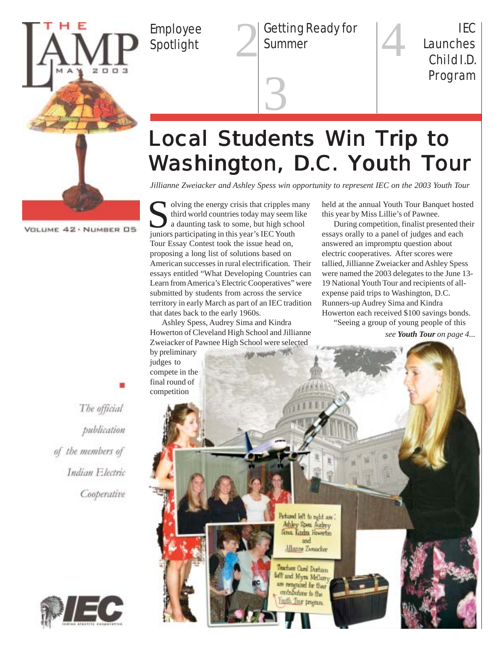

Employee

Employee **2 Getting Ready for**<br>Spotlight **2** Summer Summer

4 IEC Launches Child I.D. Program

# **Local Students Win Trip to** Washington, D.C. Youth Tour

3

*Jillianne Zweiacker and Ashley Spess win opportunity to represent IEC on the 2003 Youth Tour*

VOLUME 42 · NUMBER 05

Solving the energy crisis that cripples r third world countries today may seem<br>a daunting task to some, but high schipping participating in this year's IEC Youth olving the energy crisis that cripples many third world countries today may seem like a daunting task to some, but high school Tour Essay Contest took the issue head on, proposing a long list of solutions based on American successes in rural electrification. Their essays entitled "What Developing Countries can Learn from America's Electric Cooperatives" were submitted by students from across the service territory in early March as part of an IEC tradition that dates back to the early 1960s.

Ashley Spess, Audrey Sima and Kindra Howerton of Cleveland High School and Jillianne Zweiacker of Pawnee High School were selected by preliminary

held at the annual Youth Tour Banquet hosted this year by Miss Lillie's of Pawnee.

During competition, finalist presented their essays orally to a panel of judges and each answered an impromptu question about electric cooperatives. After scores were tallied, Jillianne Zweiacker and Ashley Spess were named the 2003 delegates to the June 13- 19 National Youth Tour and recipients of allexpense paid trips to Washington, D.C. Runners-up Audrey Sima and Kindra Howerton each received \$100 savings bonds. "Seeing a group of young people of this

*see Youth Tour on page 4...*

judges to compete in the

The official publication of the members of Indian Electric Cooperative



final round of competition echused left to right are . Athley Spen Auchevy Sina Kindra Howerton and **Albanne Zwaacker** Teacher Card Durham loft and Myra McCurry are rengrand for their contributions to the ath Tar program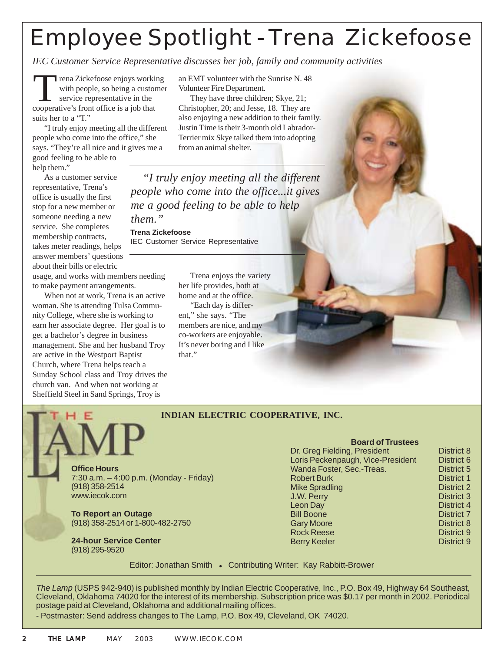# Employee Spotlight - Trena Zickefoose

*IEC Customer Service Representative discusses her job, family and community activities*

Trena Zickefoose enjoys working with people, so being a customer service representative in the cooperative's front office is a job that suits her to a "T."

"I truly enjoy meeting all the different people who come into the office," she says. "They're all nice and it gives me a good feeling to be able to

help them."

As a customer service representative, Trena's office is usually the first stop for a new member or someone needing a new service. She completes membership contracts, takes meter readings, helps answer members' questions about their bills or electric

usage, and works with members needing to make payment arrangements.

When not at work, Trena is an active woman. She is attending Tulsa Community College, where she is working to earn her associate degree. Her goal is to get a bachelor's degree in business management. She and her husband Troy are active in the Westport Baptist Church, where Trena helps teach a Sunday School class and Troy drives the church van. And when not working at Sheffield Steel in Sand Springs, Troy is

an EMT volunteer with the Sunrise N. 48 Volunteer Fire Department.

They have three children; Skye, 21; Christopher, 20; and Jesse, 18. They are also enjoying a new addition to their family. Justin Time is their 3-month old Labrador-Terrier mix Skye talked them into adopting from an animal shelter.

*"I truly enjoy meeting all the different people who come into the office...it gives me a good feeling to be able to help them."*

**Trena Zickefoose** IEC Customer Service Representative

that."

Trena enjoys the variety her life provides, both at home and at the office. "Each day is different," she says. "The members are nice, and my co-workers are enjoyable. It's never boring and I like

#### **INDIAN ELECTRIC COOPERATIVE, INC.**

**Office Hours** 7:30 a.m. – 4:00 p.m. (Monday - Friday) (918) 358-2514 www.iecok.com

**To Report an Outage** (918) 358-2514 or 1-800-482-2750

**24-hour Service Center** (918) 295-9520

| <b>Board of Trustees</b>          |                   |
|-----------------------------------|-------------------|
| Dr. Greg Fielding, President      | <b>District 8</b> |
| Loris Peckenpaugh, Vice-President | District 6        |
| Wanda Foster, Sec.-Treas.         | District 5        |
| <b>Robert Burk</b>                | <b>District 1</b> |
| <b>Mike Spradling</b>             | <b>District 2</b> |
| J.W. Perry                        | District 3        |
| Leon Day                          | District 4        |
| <b>Bill Boone</b>                 | District 7        |
| <b>Gary Moore</b>                 | <b>District 8</b> |
| <b>Rock Reese</b>                 | District 9        |
| <b>Berry Keeler</b>               | District 9        |

Editor: Jonathan Smith • Contributing Writer: Kay Rabbitt-Brower

*The Lamp* (USPS 942-940) is published monthly by Indian Electric Cooperative, Inc., P.O. Box 49, Highway 64 Southeast, Cleveland, Oklahoma 74020 for the interest of its membership. Subscription price was \$0.17 per month in 2002. Periodical postage paid at Cleveland, Oklahoma and additional mailing offices.

- Postmaster: Send address changes to The Lamp, P.O. Box 49, Cleveland, OK 74020.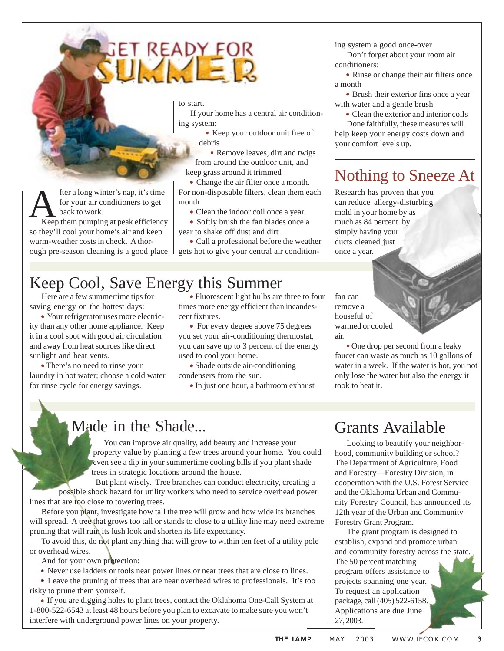# SET READY FOR

to start.

If your home has a central air conditioning system:

· Keep your outdoor unit free of debris

· Remove leaves, dirt and twigs from around the outdoor unit, and keep grass around it trimmed

· Change the air filter once a month. For non-disposable filters, clean them each month

· Clean the indoor coil once a year.

· Softly brush the fan blades once a year to shake off dust and dirt

· Call a professional before the weather gets hot to give your central air condition-

### Keep Cool, Save Energy this Summer

Here are a few summertime tips for saving energy on the hottest days:

• Your refrigerator uses more electricity than any other home appliance. Keep it in a cool spot with good air circulation and away from heat sources like direct sunlight and heat vents.

• There's no need to rinse your laundry in hot water; choose a cold water for rinse cycle for energy savings.

• Fluorescent light bulbs are three to four times more energy efficient than incandescent fixtures.

• For every degree above 75 degrees you set your air-conditioning thermostat, you can save up to 3 percent of the energy used to cool your home.

• Shade outside air-conditioning condensers from the sun.

• In just one hour, a bathroom exhaust

fan can remove a houseful of warmed or cooled

air.

• One drop per second from a leaky faucet can waste as much as 10 gallons of water in a week. If the water is hot, you not only lose the water but also the energy it took to heat it.

#### Made in the Shade...

You can improve air quality, add beauty and increase your property value by planting a few trees around your home. You could even see a dip in your summertime cooling bills if you plant shade trees in strategic locations around the house.

But plant wisely. Tree branches can conduct electricity, creating a possible shock hazard for utility workers who need to service overhead power lines that are too close to towering trees.

Before you plant, investigate how tall the tree will grow and how wide its branches will spread. A tree that grows too tall or stands to close to a utility line may need extreme pruning that will ruin its lush look and shorten its life expectancy.

To avoid this, do not plant anything that will grow to within ten feet of a utility pole or overhead wires.

And for your own protection:

· Never use ladders or tools near power lines or near trees that are close to lines.

· Leave the pruning of trees that are near overhead wires to professionals. It's too risky to prune them yourself.

 If you are digging holes to plant trees, contact the Oklahoma One-Call System at 1-800-522-6543 at least 48 hours before you plan to excavate to make sure you won't interfere with underground power lines on your property.

#### Grants Available

Looking to beautify your neighborhood, community building or school? The Department of Agriculture, Food and Forestry—Forestry Division, in cooperation with the U.S. Forest Service and the Oklahoma Urban and Community Forestry Council, has announced its 12th year of the Urban and Community Forestry Grant Program.

The grant program is designed to establish, expand and promote urban and community forestry across the state. The 50 percent matching program offers assistance to projects spanning one year. To request an application package, call (405) 522-6158. Applications are due June 27, 2003.

fter a long winter's nap, it's time for your air conditioners to get back to work. fter a long winter's nap, it's time<br>for your air conditioners to get<br>keep them pumping at peak efficiency

so they'll cool your home's air and keep warm-weather costs in check. A thorough pre-season cleaning is a good place

Don't forget about your room air conditioners:

ing system a good once-over

• Rinse or change their air filters once a month

· Brush their exterior fins once a year with water and a gentle brush

· Clean the exterior and interior coils Done faithfully, these measures will

help keep your energy costs down and your comfort levels up.

# Nothing to Sneeze At

Research has proven that you can reduce allergy-disturbing mold in your home by as much as 84 percent by simply having your ducts cleaned just once a year.